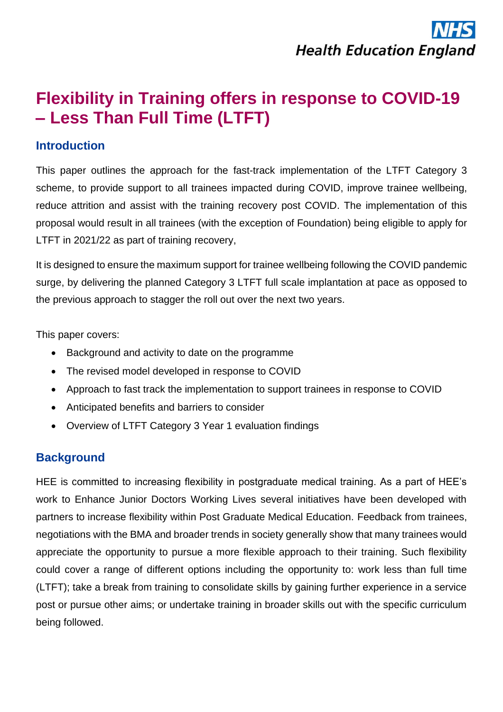# **Flexibility in Training offers in response to COVID-19 – Less Than Full Time (LTFT)**

### **Introduction**

This paper outlines the approach for the fast-track implementation of the LTFT Category 3 scheme, to provide support to all trainees impacted during COVID, improve trainee wellbeing, reduce attrition and assist with the training recovery post COVID. The implementation of this proposal would result in all trainees (with the exception of Foundation) being eligible to apply for LTFT in 2021/22 as part of training recovery,

It is designed to ensure the maximum support for trainee wellbeing following the COVID pandemic surge, by delivering the planned Category 3 LTFT full scale implantation at pace as opposed to the previous approach to stagger the roll out over the next two years.

This paper covers:

- Background and activity to date on the programme
- The revised model developed in response to COVID
- Approach to fast track the implementation to support trainees in response to COVID
- Anticipated benefits and barriers to consider
- Overview of LTFT Category 3 Year 1 evaluation findings

# **Background**

HEE is committed to increasing flexibility in postgraduate medical training. As a part of HEE's work to Enhance Junior Doctors Working Lives several initiatives have been developed with partners to increase flexibility within Post Graduate Medical Education. Feedback from trainees, negotiations with the BMA and broader trends in society generally show that many trainees would appreciate the opportunity to pursue a more flexible approach to their training. Such flexibility could cover a range of different options including the opportunity to: work less than full time (LTFT); take a break from training to consolidate skills by gaining further experience in a service post or pursue other aims; or undertake training in broader skills out with the specific curriculum being followed.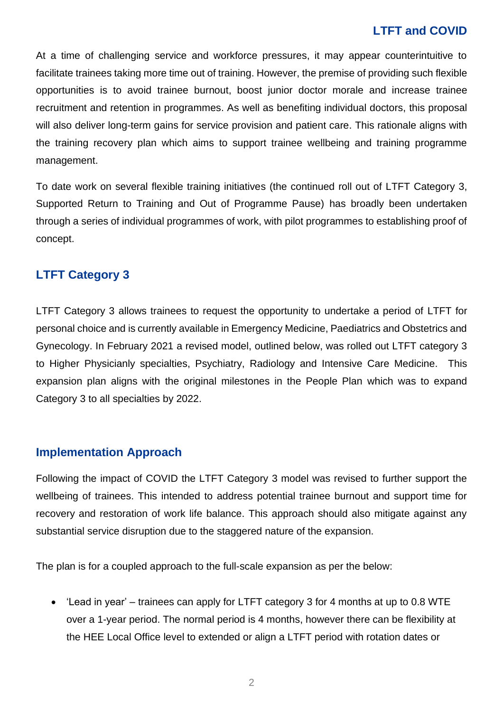At a time of challenging service and workforce pressures, it may appear counterintuitive to facilitate trainees taking more time out of training. However, the premise of providing such flexible opportunities is to avoid trainee burnout, boost junior doctor morale and increase trainee recruitment and retention in programmes. As well as benefiting individual doctors, this proposal will also deliver long-term gains for service provision and patient care. This rationale aligns with the training recovery plan which aims to support trainee wellbeing and training programme management.

To date work on several flexible training initiatives (the continued roll out of LTFT Category 3, Supported Return to Training and Out of Programme Pause) has broadly been undertaken through a series of individual programmes of work, with pilot programmes to establishing proof of concept.

### **LTFT Category 3**

LTFT Category 3 allows trainees to request the opportunity to undertake a period of LTFT for personal choice and is currently available in Emergency Medicine, Paediatrics and Obstetrics and Gynecology. In February 2021 a revised model, outlined below, was rolled out LTFT category 3 to Higher Physicianly specialties, Psychiatry, Radiology and Intensive Care Medicine. This expansion plan aligns with the original milestones in the People Plan which was to expand Category 3 to all specialties by 2022.

### **Implementation Approach**

Following the impact of COVID the LTFT Category 3 model was revised to further support the wellbeing of trainees. This intended to address potential trainee burnout and support time for recovery and restoration of work life balance. This approach should also mitigate against any substantial service disruption due to the staggered nature of the expansion.

The plan is for a coupled approach to the full-scale expansion as per the below:

• 'Lead in year' – trainees can apply for LTFT category 3 for 4 months at up to 0.8 WTE over a 1-year period. The normal period is 4 months, however there can be flexibility at the HEE Local Office level to extended or align a LTFT period with rotation dates or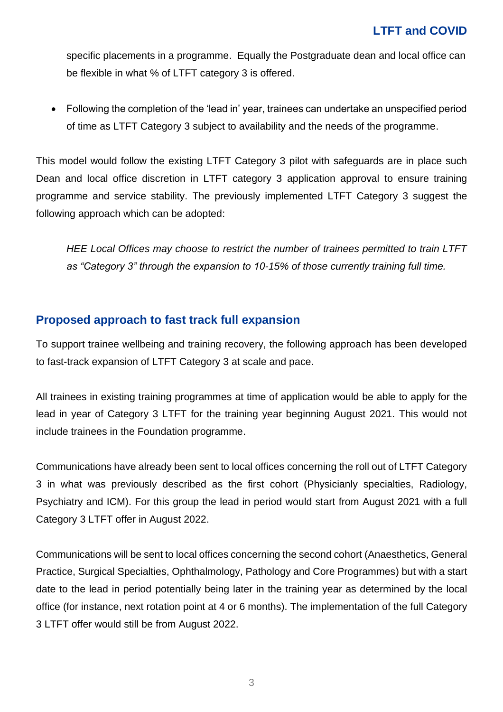specific placements in a programme. Equally the Postgraduate dean and local office can be flexible in what % of LTFT category 3 is offered.

• Following the completion of the 'lead in' year, trainees can undertake an unspecified period of time as LTFT Category 3 subject to availability and the needs of the programme.

This model would follow the existing LTFT Category 3 pilot with safeguards are in place such Dean and local office discretion in LTFT category 3 application approval to ensure training programme and service stability. The previously implemented LTFT Category 3 suggest the following approach which can be adopted:

*HEE Local Offices may choose to restrict the number of trainees permitted to train LTFT as "Category 3" through the expansion to 10-15% of those currently training full time.*

### **Proposed approach to fast track full expansion**

To support trainee wellbeing and training recovery, the following approach has been developed to fast-track expansion of LTFT Category 3 at scale and pace.

All trainees in existing training programmes at time of application would be able to apply for the lead in year of Category 3 LTFT for the training year beginning August 2021. This would not include trainees in the Foundation programme.

Communications have already been sent to local offices concerning the roll out of LTFT Category 3 in what was previously described as the first cohort (Physicianly specialties, Radiology, Psychiatry and ICM). For this group the lead in period would start from August 2021 with a full Category 3 LTFT offer in August 2022.

Communications will be sent to local offices concerning the second cohort (Anaesthetics, General Practice, Surgical Specialties, Ophthalmology, Pathology and Core Programmes) but with a start date to the lead in period potentially being later in the training year as determined by the local office (for instance, next rotation point at 4 or 6 months). The implementation of the full Category 3 LTFT offer would still be from August 2022.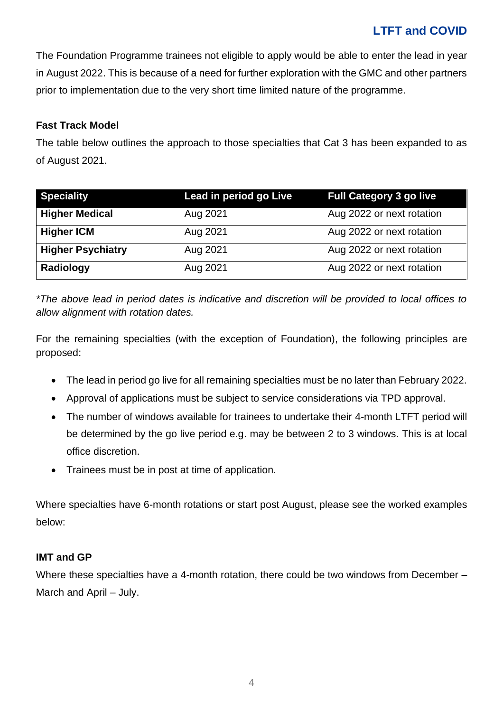The Foundation Programme trainees not eligible to apply would be able to enter the lead in year in August 2022. This is because of a need for further exploration with the GMC and other partners prior to implementation due to the very short time limited nature of the programme.

#### **Fast Track Model**

The table below outlines the approach to those specialties that Cat 3 has been expanded to as of August 2021.

| <b>Speciality</b>        | Lead in period go Live | <b>Full Category 3 go live</b> |
|--------------------------|------------------------|--------------------------------|
| <b>Higher Medical</b>    | Aug 2021               | Aug 2022 or next rotation      |
| <b>Higher ICM</b>        | Aug 2021               | Aug 2022 or next rotation      |
| <b>Higher Psychiatry</b> | Aug 2021               | Aug 2022 or next rotation      |
| Radiology                | Aug 2021               | Aug 2022 or next rotation      |

*\*The above lead in period dates is indicative and discretion will be provided to local offices to allow alignment with rotation dates.* 

For the remaining specialties (with the exception of Foundation), the following principles are proposed:

- The lead in period go live for all remaining specialties must be no later than February 2022.
- Approval of applications must be subject to service considerations via TPD approval.
- The number of windows available for trainees to undertake their 4-month LTFT period will be determined by the go live period e.g. may be between 2 to 3 windows. This is at local office discretion.
- Trainees must be in post at time of application.

Where specialties have 6-month rotations or start post August, please see the worked examples below:

#### **IMT and GP**

Where these specialties have a 4-month rotation, there could be two windows from December – March and April – July.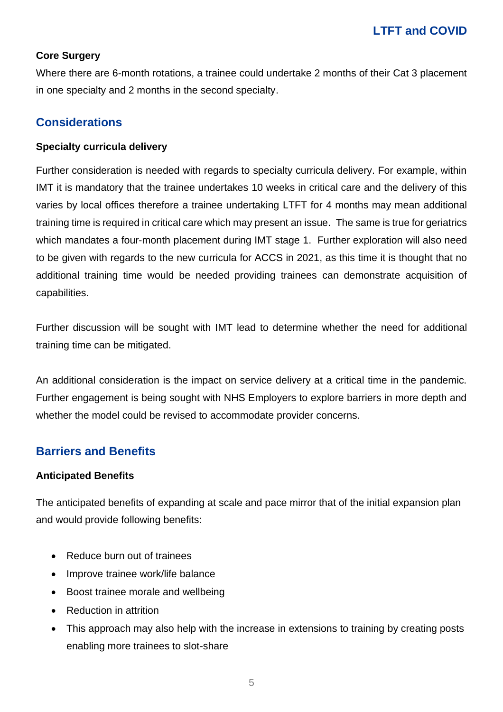#### **Core Surgery**

Where there are 6-month rotations, a trainee could undertake 2 months of their Cat 3 placement in one specialty and 2 months in the second specialty.

### **Considerations**

#### **Specialty curricula delivery**

Further consideration is needed with regards to specialty curricula delivery. For example, within IMT it is mandatory that the trainee undertakes 10 weeks in critical care and the delivery of this varies by local offices therefore a trainee undertaking LTFT for 4 months may mean additional training time is required in critical care which may present an issue. The same is true for geriatrics which mandates a four-month placement during IMT stage 1. Further exploration will also need to be given with regards to the new curricula for ACCS in 2021, as this time it is thought that no additional training time would be needed providing trainees can demonstrate acquisition of capabilities.

Further discussion will be sought with IMT lead to determine whether the need for additional training time can be mitigated.

An additional consideration is the impact on service delivery at a critical time in the pandemic. Further engagement is being sought with NHS Employers to explore barriers in more depth and whether the model could be revised to accommodate provider concerns.

### **Barriers and Benefits**

#### **Anticipated Benefits**

The anticipated benefits of expanding at scale and pace mirror that of the initial expansion plan and would provide following benefits:

- Reduce burn out of trainees
- Improve trainee work/life balance
- Boost trainee morale and wellbeing
- Reduction in attrition
- This approach may also help with the increase in extensions to training by creating posts enabling more trainees to slot-share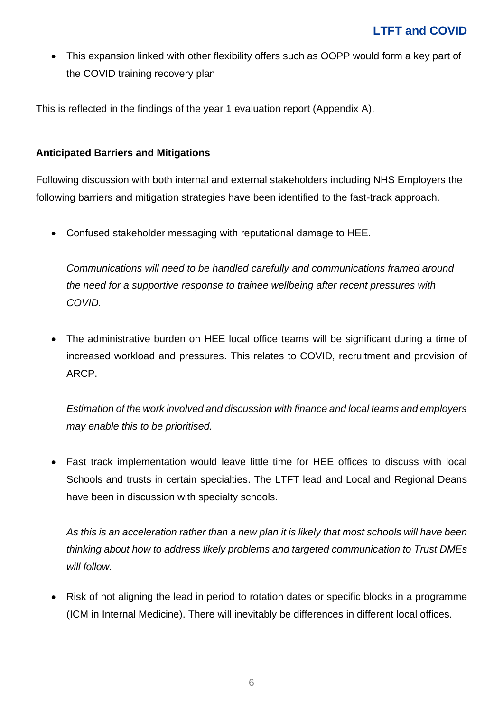• This expansion linked with other flexibility offers such as OOPP would form a key part of the COVID training recovery plan

This is reflected in the findings of the year 1 evaluation report (Appendix A).

#### **Anticipated Barriers and Mitigations**

Following discussion with both internal and external stakeholders including NHS Employers the following barriers and mitigation strategies have been identified to the fast-track approach.

• Confused stakeholder messaging with reputational damage to HEE.

*Communications will need to be handled carefully and communications framed around the need for a supportive response to trainee wellbeing after recent pressures with COVID.*

• The administrative burden on HEE local office teams will be significant during a time of increased workload and pressures. This relates to COVID, recruitment and provision of ARCP.

*Estimation of the work involved and discussion with finance and local teams and employers may enable this to be prioritised.* 

• Fast track implementation would leave little time for HEE offices to discuss with local Schools and trusts in certain specialties. The LTFT lead and Local and Regional Deans have been in discussion with specialty schools.

*As this is an acceleration rather than a new plan it is likely that most schools will have been thinking about how to address likely problems and targeted communication to Trust DMEs will follow.* 

• Risk of not aligning the lead in period to rotation dates or specific blocks in a programme (ICM in Internal Medicine). There will inevitably be differences in different local offices.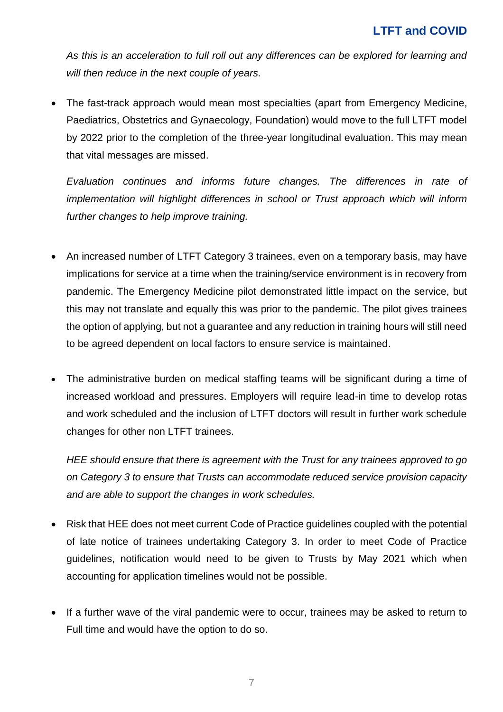*As this is an acceleration to full roll out any differences can be explored for learning and will then reduce in the next couple of years.*

• The fast-track approach would mean most specialties (apart from Emergency Medicine, Paediatrics, Obstetrics and Gynaecology, Foundation) would move to the full LTFT model by 2022 prior to the completion of the three-year longitudinal evaluation. This may mean that vital messages are missed.

*Evaluation continues and informs future changes. The differences in rate of implementation will highlight differences in school or Trust approach which will inform further changes to help improve training.* 

- An increased number of LTFT Category 3 trainees, even on a temporary basis, may have implications for service at a time when the training/service environment is in recovery from pandemic. The Emergency Medicine pilot demonstrated little impact on the service, but this may not translate and equally this was prior to the pandemic. The pilot gives trainees the option of applying, but not a guarantee and any reduction in training hours will still need to be agreed dependent on local factors to ensure service is maintained.
- The administrative burden on medical staffing teams will be significant during a time of increased workload and pressures. Employers will require lead-in time to develop rotas and work scheduled and the inclusion of LTFT doctors will result in further work schedule changes for other non LTFT trainees.

*HEE should ensure that there is agreement with the Trust for any trainees approved to go on Category 3 to ensure that Trusts can accommodate reduced service provision capacity and are able to support the changes in work schedules.*

- Risk that HEE does not meet current Code of Practice guidelines coupled with the potential of late notice of trainees undertaking Category 3. In order to meet Code of Practice guidelines, notification would need to be given to Trusts by May 2021 which when accounting for application timelines would not be possible.
- If a further wave of the viral pandemic were to occur, trainees may be asked to return to Full time and would have the option to do so.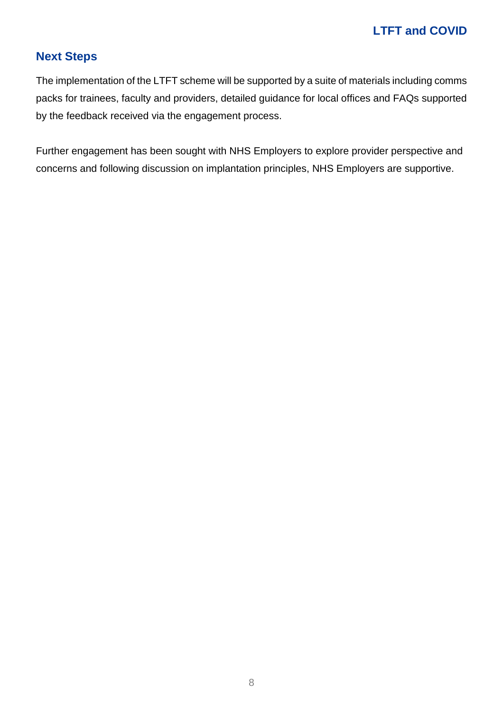# **Next Steps**

The implementation of the LTFT scheme will be supported by a suite of materials including comms packs for trainees, faculty and providers, detailed guidance for local offices and FAQs supported by the feedback received via the engagement process.

Further engagement has been sought with NHS Employers to explore provider perspective and concerns and following discussion on implantation principles, NHS Employers are supportive.